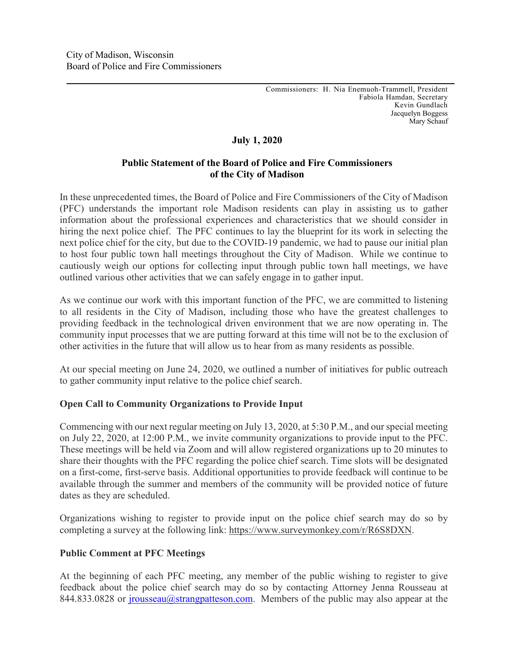# **July 1, 2020**

## **Public Statement of the Board of Police and Fire Commissioners of the City of Madison**

In these unprecedented times, the Board of Police and Fire Commissioners of the City of Madison (PFC) understands the important role Madison residents can play in assisting us to gather information about the professional experiences and characteristics that we should consider in hiring the next police chief. The PFC continues to lay the blueprint for its work in selecting the next police chief for the city, but due to the COVID-19 pandemic, we had to pause our initial plan to host four public town hall meetings throughout the City of Madison. While we continue to cautiously weigh our options for collecting input through public town hall meetings, we have outlined various other activities that we can safely engage in to gather input.

As we continue our work with this important function of the PFC, we are committed to listening to all residents in the City of Madison, including those who have the greatest challenges to providing feedback in the technological driven environment that we are now operating in. The community input processes that we are putting forward at this time will not be to the exclusion of other activities in the future that will allow us to hear from as many residents as possible.

At our special meeting on June 24, 2020, we outlined a number of initiatives for public outreach to gather community input relative to the police chief search.

## **Open Call to Community Organizations to Provide Input**

Commencing with our next regular meeting on July 13, 2020, at 5:30 P.M., and ourspecial meeting on July 22, 2020, at 12:00 P.M., we invite community organizations to provide input to the PFC. These meetings will be held via Zoom and will allow registered organizations up to 20 minutes to share their thoughts with the PFC regarding the police chief search. Time slots will be designated on a first-come, first-serve basis. Additional opportunities to provide feedback will continue to be available through the summer and members of the community will be provided notice of future dates as they are scheduled.

Organizations wishing to register to provide input on the police chief search may do so by completing a survey at the following link: https://www.surveymonkey.com/r/R6S8DXN.

## **Public Comment at PFC Meetings**

At the beginning of each PFC meeting, any member of the public wishing to register to give feedback about the police chief search may do so by contacting Attorney Jenna Rousseau at 844.833.0828 or [jrousseau@strangpatteson.com.](mailto:jrousseau@strangpatteson.com) Members of the public may also appear at the